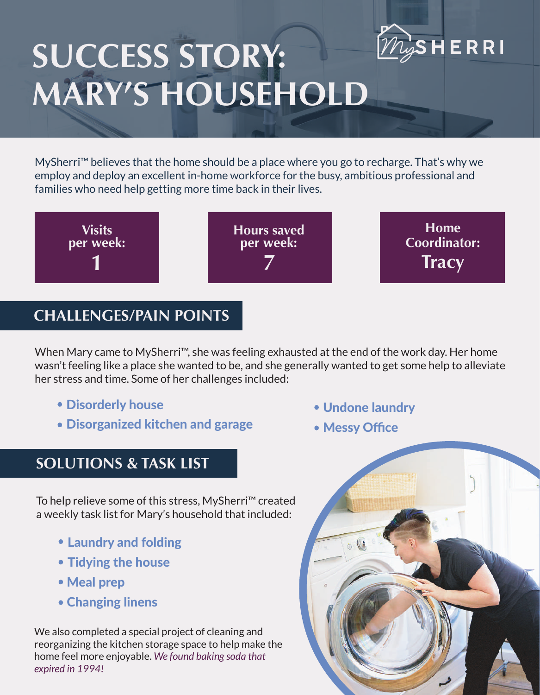

# **SUCCESS STORY: MARY'S HOUSEHOLD**

MySherri<sup>™</sup> believes that the home should be a place where you go to recharge. That's why we employ and deploy an excellent in-home workforce for the busy, ambitious professional and families who need help getting more time back in their lives.



#### **CHALLENGES/PAIN POINTS**

When Mary came to MySherri™, she was feeling exhausted at the end of the work day. Her home wasn't feeling like a place she wanted to be, and she generally wanted to get some help to alleviate her stress and time. Some of her challenges included:

- Disorderly house
- Disorganized kitchen and garage

#### **SOLUTIONS & TASK LIST**

To help relieve some of this stress, MySherri™ created a weekly task list for Mary's household that included:

- Laundry and folding
- Tidying the house
- Meal prep
- Changing linens

We also completed a special project of cleaning and reorganizing the kitchen storage space to help make the home feel more enjoyable. *We found baking soda that expired in 1994!*

- Undone laundry
- Messy Office